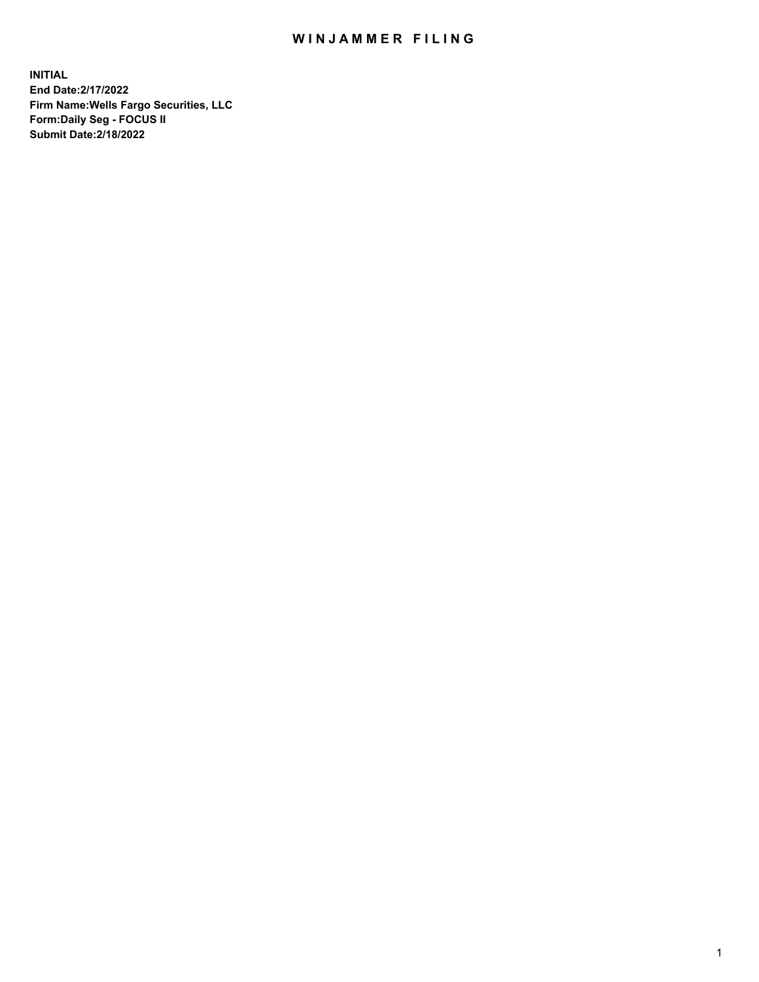## WIN JAMMER FILING

**INITIAL End Date:2/17/2022 Firm Name:Wells Fargo Securities, LLC Form:Daily Seg - FOCUS II Submit Date:2/18/2022**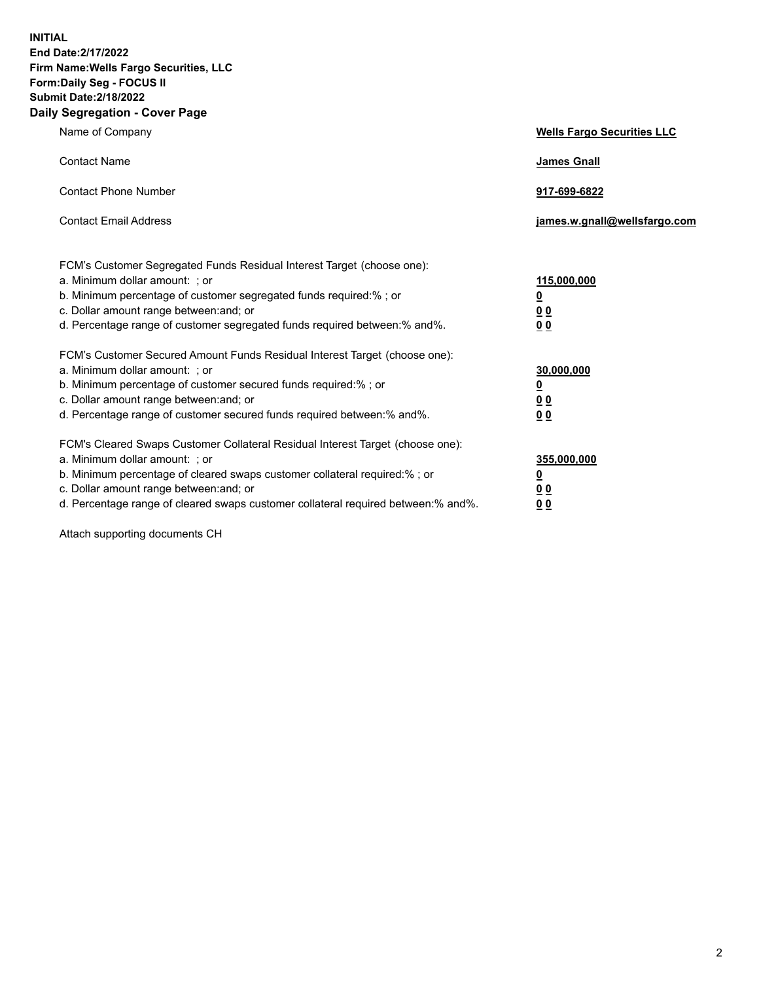**INITIAL End Date:2/17/2022 Firm Name:Wells Fargo Securities, LLC Form:Daily Seg - FOCUS II Submit Date:2/18/2022 Daily Segregation - Cover Page**

| Name of Company                                                                                                                                                                                                                                                                                                                | <b>Wells Fargo Securities LLC</b>                          |
|--------------------------------------------------------------------------------------------------------------------------------------------------------------------------------------------------------------------------------------------------------------------------------------------------------------------------------|------------------------------------------------------------|
| <b>Contact Name</b>                                                                                                                                                                                                                                                                                                            | <b>James Gnall</b>                                         |
| <b>Contact Phone Number</b>                                                                                                                                                                                                                                                                                                    | 917-699-6822                                               |
| <b>Contact Email Address</b>                                                                                                                                                                                                                                                                                                   | james.w.gnall@wellsfargo.com                               |
| FCM's Customer Segregated Funds Residual Interest Target (choose one):<br>a. Minimum dollar amount: ; or<br>b. Minimum percentage of customer segregated funds required:% ; or<br>c. Dollar amount range between: and; or<br>d. Percentage range of customer segregated funds required between:% and%.                         | 115,000,000<br><u>0</u><br>0 <sub>0</sub><br>00            |
| FCM's Customer Secured Amount Funds Residual Interest Target (choose one):<br>a. Minimum dollar amount: ; or<br>b. Minimum percentage of customer secured funds required:%; or<br>c. Dollar amount range between: and; or<br>d. Percentage range of customer secured funds required between:% and%.                            | 30,000,000<br><u>0</u><br>0 <sub>0</sub><br>0 <sub>0</sub> |
| FCM's Cleared Swaps Customer Collateral Residual Interest Target (choose one):<br>a. Minimum dollar amount: ; or<br>b. Minimum percentage of cleared swaps customer collateral required:% ; or<br>c. Dollar amount range between: and; or<br>d. Percentage range of cleared swaps customer collateral required between:% and%. | 355,000,000<br><u>0</u><br>00<br>00                        |

Attach supporting documents CH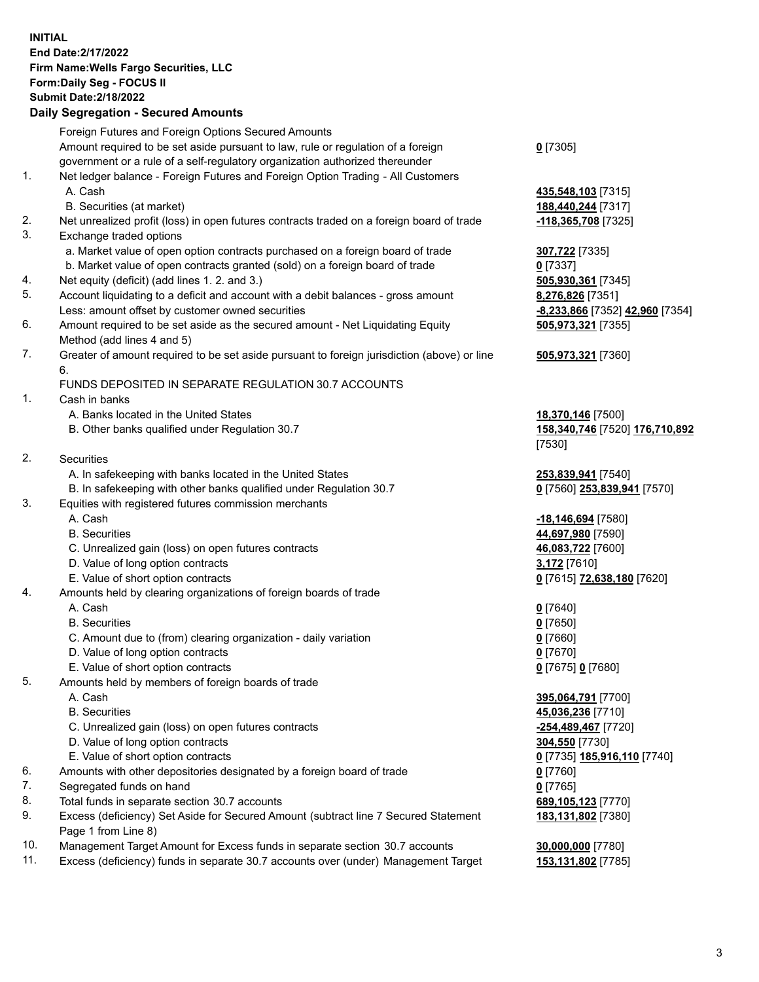**INITIAL End Date:2/17/2022 Firm Name:Wells Fargo Securities, LLC Form:Daily Seg - FOCUS II Submit Date:2/18/2022**

## **Daily Segregation - Secured Amounts**

|     | Foreign Futures and Foreign Options Secured Amounts                                         |                                 |
|-----|---------------------------------------------------------------------------------------------|---------------------------------|
|     | Amount required to be set aside pursuant to law, rule or regulation of a foreign            | $0$ [7305]                      |
|     | government or a rule of a self-regulatory organization authorized thereunder                |                                 |
| 1.  | Net ledger balance - Foreign Futures and Foreign Option Trading - All Customers             |                                 |
|     | A. Cash                                                                                     | 435,548,103 [7315]              |
|     | B. Securities (at market)                                                                   | 188,440,244 [7317]              |
| 2.  | Net unrealized profit (loss) in open futures contracts traded on a foreign board of trade   | -118,365,708 [7325]             |
| 3.  | Exchange traded options                                                                     |                                 |
|     | a. Market value of open option contracts purchased on a foreign board of trade              | 307,722 [7335]                  |
|     | b. Market value of open contracts granted (sold) on a foreign board of trade                | $0$ [7337]                      |
| 4.  | Net equity (deficit) (add lines 1. 2. and 3.)                                               | 505,930,361 [7345]              |
| 5.  | Account liquidating to a deficit and account with a debit balances - gross amount           | 8,276,826 [7351]                |
|     | Less: amount offset by customer owned securities                                            | -8,233,866 [7352] 42,960 [7354] |
| 6.  | Amount required to be set aside as the secured amount - Net Liquidating Equity              | 505,973,321 [7355]              |
|     | Method (add lines 4 and 5)                                                                  |                                 |
| 7.  | Greater of amount required to be set aside pursuant to foreign jurisdiction (above) or line | 505,973,321 [7360]              |
|     | 6.                                                                                          |                                 |
|     | FUNDS DEPOSITED IN SEPARATE REGULATION 30.7 ACCOUNTS                                        |                                 |
| 1.  | Cash in banks                                                                               |                                 |
|     | A. Banks located in the United States                                                       | 18,370,146 [7500]               |
|     | B. Other banks qualified under Regulation 30.7                                              | 158,340,746 [7520] 176,710,892  |
|     |                                                                                             | [7530]                          |
| 2.  | <b>Securities</b>                                                                           |                                 |
|     | A. In safekeeping with banks located in the United States                                   | 253,839,941 [7540]              |
|     | B. In safekeeping with other banks qualified under Regulation 30.7                          | 0 [7560] 253,839,941 [7570]     |
| 3.  | Equities with registered futures commission merchants                                       |                                 |
|     | A. Cash                                                                                     | -18,146,694 [7580]              |
|     | <b>B.</b> Securities                                                                        | 44,697,980 [7590]               |
|     | C. Unrealized gain (loss) on open futures contracts                                         | 46,083,722 [7600]               |
|     | D. Value of long option contracts                                                           | 3,172 [7610]                    |
|     | E. Value of short option contracts                                                          | 0 [7615] 72,638,180 [7620]      |
| 4.  | Amounts held by clearing organizations of foreign boards of trade                           |                                 |
|     | A. Cash                                                                                     | $0$ [7640]                      |
|     | <b>B.</b> Securities                                                                        | $0$ [7650]                      |
|     | C. Amount due to (from) clearing organization - daily variation                             | $0$ [7660]                      |
|     | D. Value of long option contracts                                                           | $0$ [7670]                      |
|     | E. Value of short option contracts                                                          | 0 [7675] 0 [7680]               |
| 5.  | Amounts held by members of foreign boards of trade                                          |                                 |
|     | A. Cash                                                                                     | 395,064,791 [7700]              |
|     | <b>B.</b> Securities                                                                        | 45,036,236 [7710]               |
|     | C. Unrealized gain (loss) on open futures contracts                                         | -254,489,467 [7720]             |
|     | D. Value of long option contracts                                                           | 304,550 [7730]                  |
|     | E. Value of short option contracts                                                          | 0 [7735] 185,916,110 [7740]     |
| 6.  | Amounts with other depositories designated by a foreign board of trade                      | $0$ [7760]                      |
| 7.  | Segregated funds on hand                                                                    | $0$ [7765]                      |
| 8.  | Total funds in separate section 30.7 accounts                                               | 689,105,123 [7770]              |
| 9.  | Excess (deficiency) Set Aside for Secured Amount (subtract line 7 Secured Statement         | 183,131,802 [7380]              |
|     | Page 1 from Line 8)                                                                         |                                 |
| 10. | Management Target Amount for Excess funds in separate section 30.7 accounts                 | 30,000,000 [7780]               |
|     |                                                                                             |                                 |

- 
- 11. Excess (deficiency) funds in separate 30.7 accounts over (under) Management Target **153,131,802** [7785]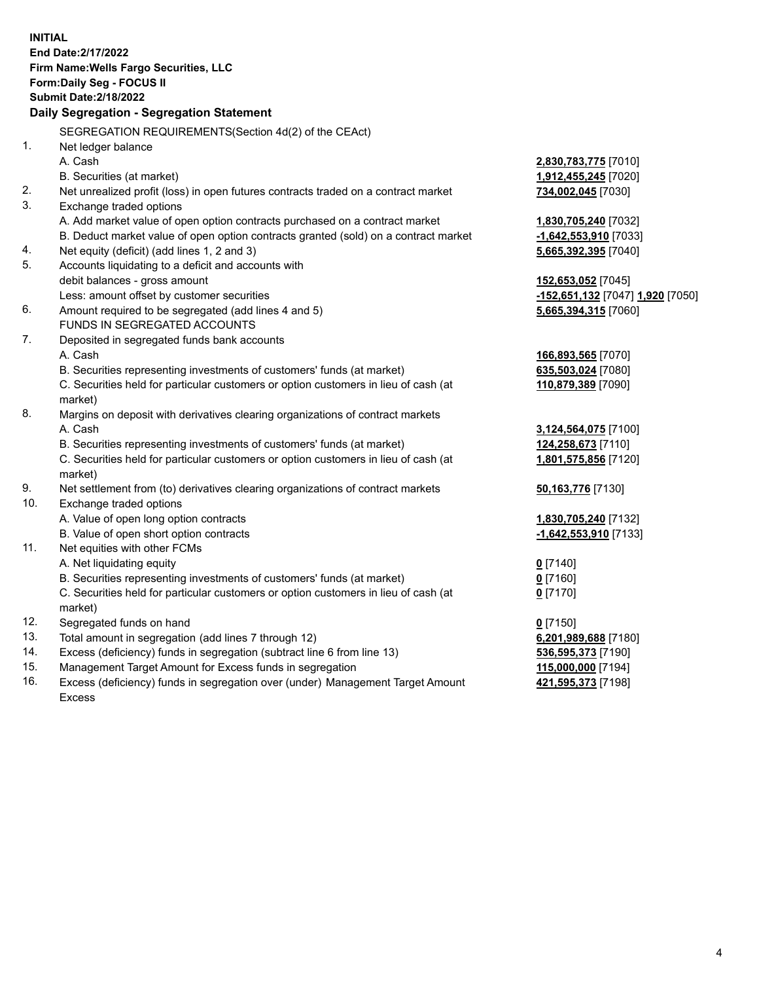**INITIAL End Date:2/17/2022 Firm Name:Wells Fargo Securities, LLC Form:Daily Seg - FOCUS II Submit Date:2/18/2022 Daily Segregation - Segregation Statement** SEGREGATION REQUIREMENTS(Section 4d(2) of the CEAct) 1. Net ledger balance A. Cash **2,830,783,775** [7010] B. Securities (at market) **1,912,455,245** [7020] 2. Net unrealized profit (loss) in open futures contracts traded on a contract market **734,002,045** [7030] 3. Exchange traded options A. Add market value of open option contracts purchased on a contract market **1,830,705,240** [7032] B. Deduct market value of open option contracts granted (sold) on a contract market **-1,642,553,910** [7033] 4. Net equity (deficit) (add lines 1, 2 and 3) **5,665,392,395** [7040] 5. Accounts liquidating to a deficit and accounts with debit balances - gross amount **152,653,052** [7045] Less: amount offset by customer securities **-152,651,132** [7047] **1,920** [7050] 6. Amount required to be segregated (add lines 4 and 5) **5,665,394,315** [7060] FUNDS IN SEGREGATED ACCOUNTS 7. Deposited in segregated funds bank accounts A. Cash **166,893,565** [7070] B. Securities representing investments of customers' funds (at market) **635,503,024** [7080] C. Securities held for particular customers or option customers in lieu of cash (at market) **110,879,389** [7090] 8. Margins on deposit with derivatives clearing organizations of contract markets A. Cash **3,124,564,075** [7100] B. Securities representing investments of customers' funds (at market) **124,258,673** [7110] C. Securities held for particular customers or option customers in lieu of cash (at market) **1,801,575,856** [7120] 9. Net settlement from (to) derivatives clearing organizations of contract markets **50,163,776** [7130] 10. Exchange traded options A. Value of open long option contracts **1,830,705,240** [7132] B. Value of open short option contracts **-1,642,553,910** [7133] 11. Net equities with other FCMs A. Net liquidating equity **0** [7140] B. Securities representing investments of customers' funds (at market) **0** [7160] C. Securities held for particular customers or option customers in lieu of cash (at market) **0** [7170] 12. Segregated funds on hand **0** [7150] 13. Total amount in segregation (add lines 7 through 12) **6,201,989,688** [7180] 14. Excess (deficiency) funds in segregation (subtract line 6 from line 13) **536,595,373** [7190] 15. Management Target Amount for Excess funds in segregation **115,000,000** [7194] 16. Excess (deficiency) funds in segregation over (under) Management Target Amount **421,595,373** [7198]

Excess